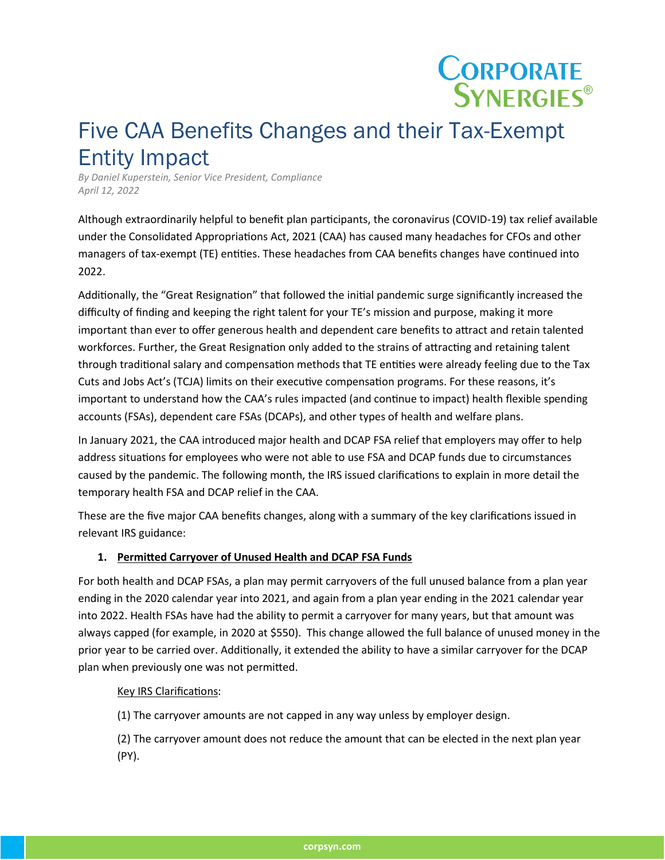# **CORPORATE**<br>SYNERGIES<sup>®</sup>

## Five CAA Benefits Changes and their Tax-Exempt Entity Impact

*By Daniel Kuperstein, Senior Vice President, Compliance April 12, 2022*

Although extraordinarily helpful to benefit plan par�cipants, the coronavirus (COVID-19) tax relief available under the Consolidated Appropriations Act, 2021 (CAA) has caused many headaches for CFOs and other managers of tax-exempt (TE) entities. These headaches from CAA benefits changes have continued into 2022.

Additionally, the "Great Resignation" that followed the initial pandemic surge significantly increased the difficulty of finding and keeping the right talent for your TE's mission and purpose, making it more important than ever to offer generous health and dependent care benefits to atract and retain talented workforces. Further, the Great Resignation only added to the strains of attracting and retaining talent through traditional salary and compensation methods that TE entities were already feeling due to the Tax Cuts and Jobs Act's (TCJA) limits on their executive compensation programs. For these reasons, it's important to understand how the CAA's rules impacted (and continue to impact) health flexible spending accounts (FSAs), dependent care FSAs (DCAPs), and other types of health and welfare plans.

In January 2021, the CAA introduced major health and DCAP FSA relief that employers may offer to help address situations for employees who were not able to use FSA and DCAP funds due to circumstances caused by the pandemic. The following month, the IRS issued clarifications to explain in more detail the temporary health FSA and DCAP relief in the CAA.

These are the five major CAA benefits changes, along with a summary of the key clarifications issued in relevant IRS guidance:

#### **1. Permited Carryover of Unused Health and DCAP FSA Funds**

For both health and DCAP FSAs, a plan may permit carryovers of the full unused balance from a plan year ending in the 2020 calendar year into 2021, and again from a plan year ending in the 2021 calendar year into 2022. Health FSAs have had the ability to permit a carryover for many years, but that amount was always capped (for example, in 2020 at \$550). This change allowed the full balance of unused money in the prior year to be carried over. Additionally, it extended the ability to have a similar carryover for the DCAP plan when previously one was not permited.

#### Key IRS Clarifications:

(1) The carryover amounts are not capped in any way unless by employer design.

(2) The carryover amount does not reduce the amount that can be elected in the next plan year (PY).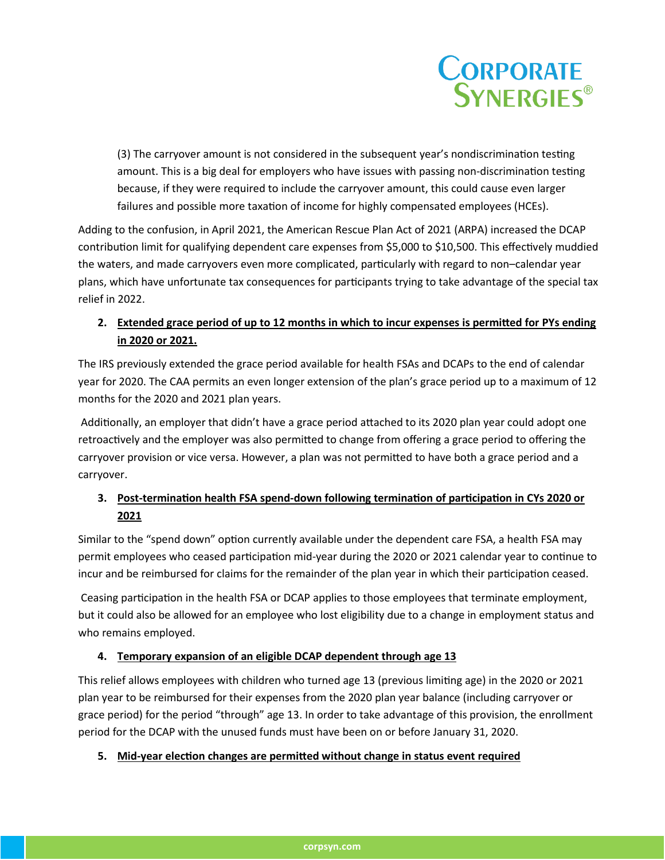

(3) The carryover amount is not considered in the subsequent year's nondiscrimination testing amount. This is a big deal for employers who have issues with passing non-discrimination testing because, if they were required to include the carryover amount, this could cause even larger failures and possible more taxation of income for highly compensated employees (HCEs).

Adding to the confusion, in April 2021, the American Rescue Plan Act of 2021 (ARPA) increased the DCAP contribution limit for qualifying dependent care expenses from \$5,000 to \$10,500. This effectively muddied the waters, and made carryovers even more complicated, par�cularly with regard to non–calendar year plans, which have unfortunate tax consequences for par�cipants trying to take advantage of the special tax relief in 2022.

#### **2. Extended grace period of up to 12 months in which to incur expenses is permited for PYs ending in 2020 or 2021.**

The IRS previously extended the grace period available for health FSAs and DCAPs to the end of calendar year for 2020. The CAA permits an even longer extension of the plan's grace period up to a maximum of 12 months for the 2020 and 2021 plan years.

Additionally, an employer that didn't have a grace period attached to its 2020 plan year could adopt one retroactively and the employer was also permitted to change from offering a grace period to offering the carryover provision or vice versa. However, a plan was not permited to have both a grace period and a carryover.

### **3.** Post-termination health FSA spend-down following termination of participation in CYs 2020 or **2021**

Similar to the "spend down" option currently available under the dependent care FSA, a health FSA may permit employees who ceased participation mid-year during the 2020 or 2021 calendar year to continue to incur and be reimbursed for claims for the remainder of the plan year in which their participation ceased.

Ceasing participation in the health FSA or DCAP applies to those employees that terminate employment, but it could also be allowed for an employee who lost eligibility due to a change in employment status and who remains employed.

#### **4. Temporary expansion of an eligible DCAP dependent through age 13**

This relief allows employees with children who turned age 13 (previous limiting age) in the 2020 or 2021 plan year to be reimbursed for their expenses from the 2020 plan year balance (including carryover or grace period) for the period "through" age 13. In order to take advantage of this provision, the enrollment period for the DCAP with the unused funds must have been on or before January 31, 2020.

#### **5. Mid-year elec�on changes are permited without change in status event required**